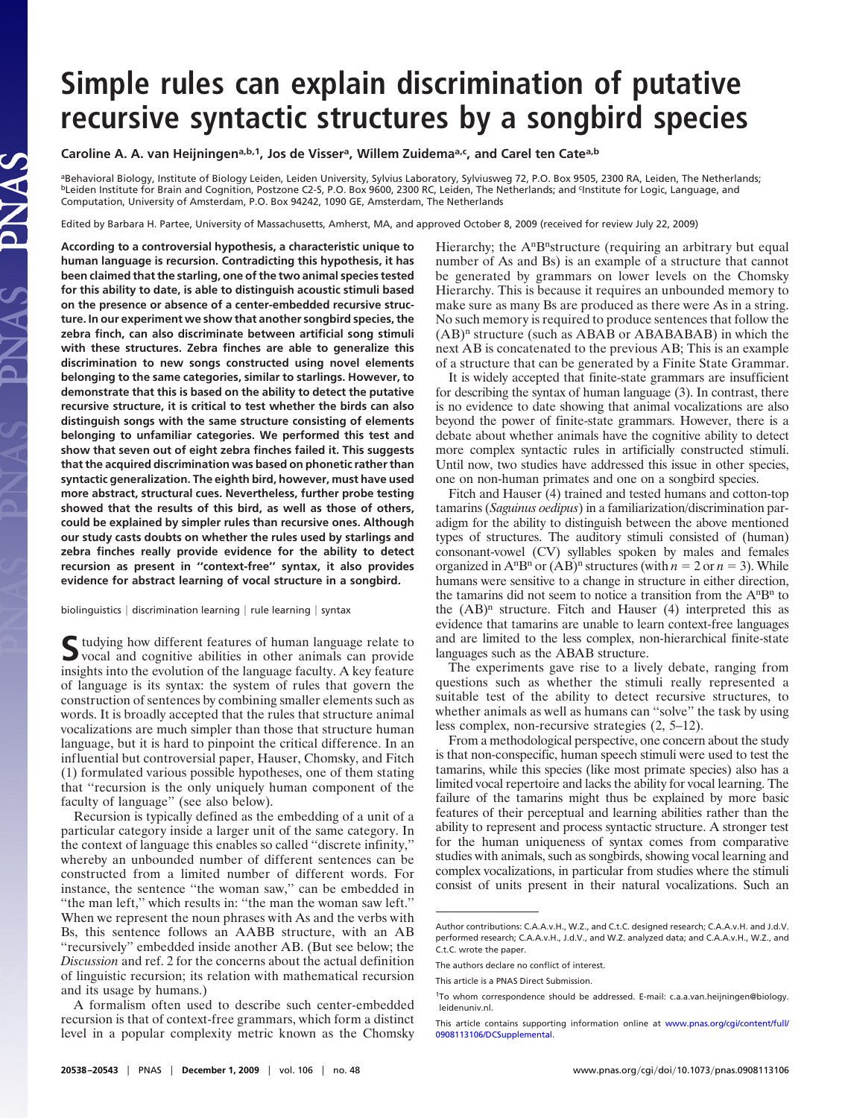# **Simple rules can explain discrimination of putative recursive syntactic structures by a songbird species**

Caroline A. A. van Heijningen<sup>a, b, 1</sup>, Jos de Visser<sup>a</sup>, Willem Zuidema<sup>a, c</sup>, and Carel ten Cate<sup>a, b</sup>

aBehavioral Biology, Institute of Biology Leiden, Leiden University, Sylvius Laboratory, Sylviusweg 72, P.O. Box 9505, 2300 RA, Leiden, The Netherlands; <sup>b</sup>Leiden Institute for Brain and Cognition, Postzone C2-S, P.O. Box 9600, 2300 RC, Leiden, The Netherlands; and <sup>c</sup>Institute for Logic, Language, and Computation, University of Amsterdam, P.O. Box 94242, 1090 GE, Amsterdam, The Netherlands

Edited by Barbara H. Partee, University of Massachusetts, Amherst, MA, and approved October 8, 2009 (received for review July 22, 2009)

**According to a controversial hypothesis, a characteristic unique to human language is recursion. Contradicting this hypothesis, it has been claimed that the starling, one of the two animal species tested for this ability to date, is able to distinguish acoustic stimuli based on the presence or absence of a center-embedded recursive structure. In our experiment we show that another songbird species, the zebra finch, can also discriminate between artificial song stimuli with these structures. Zebra finches are able to generalize this discrimination to new songs constructed using novel elements belonging to the same categories, similar to starlings. However, to demonstrate that this is based on the ability to detect the putative recursive structure, it is critical to test whether the birds can also distinguish songs with the same structure consisting of elements belonging to unfamiliar categories. We performed this test and show that seven out of eight zebra finches failed it. This suggests that the acquired discrimination was based on phonetic rather than syntactic generalization. The eighth bird, however, must have used more abstract, structural cues. Nevertheless, further probe testing showed that the results of this bird, as well as those of others, could be explained by simpler rules than recursive ones. Although our study casts doubts on whether the rules used by starlings and zebra finches really provide evidence for the ability to detect recursion as present in ''context-free'' syntax, it also provides evidence for abstract learning of vocal structure in a songbird.**

biolinguistics  $|$  discrimination learning  $|$  rule learning  $|$  syntax

S tudying how different features of human language relate to vocal and cognitive abilities in other animals can provide insights into the evolution of the language faculty. A key feature of language is its syntax: the system of rules that govern the construction of sentences by combining smaller elements such as words. It is broadly accepted that the rules that structure animal vocalizations are much simpler than those that structure human language, but it is hard to pinpoint the critical difference. In an influential but controversial paper, Hauser, Chomsky, and Fitch (1) formulated various possible hypotheses, one of them stating that ''recursion is the only uniquely human component of the faculty of language'' (see also below).

Recursion is typically defined as the embedding of a unit of a particular category inside a larger unit of the same category. In the context of language this enables so called ''discrete infinity,'' whereby an unbounded number of different sentences can be constructed from a limited number of different words. For instance, the sentence ''the woman saw,'' can be embedded in ''the man left,'' which results in: ''the man the woman saw left.'' When we represent the noun phrases with As and the verbs with Bs, this sentence follows an AABB structure, with an AB ''recursively'' embedded inside another AB. (But see below; the *Discussion* and ref. 2 for the concerns about the actual definition of linguistic recursion; its relation with mathematical recursion and its usage by humans.)

A formalism often used to describe such center-embedded recursion is that of context-free grammars, which form a distinct level in a popular complexity metric known as the Chomsky Hierarchy; the A<sup>n</sup>B<sup>n</sup>structure (requiring an arbitrary but equal number of As and Bs) is an example of a structure that cannot be generated by grammars on lower levels on the Chomsky Hierarchy. This is because it requires an unbounded memory to make sure as many Bs are produced as there were As in a string. No such memory is required to produce sentences that follow the  $(AB)^n$  structure (such as ABAB or ABABABAB) in which the next AB is concatenated to the previous AB; This is an example of a structure that can be generated by a Finite State Grammar.

It is widely accepted that finite-state grammars are insufficient for describing the syntax of human language (3). In contrast, there is no evidence to date showing that animal vocalizations are also beyond the power of finite-state grammars. However, there is a debate about whether animals have the cognitive ability to detect more complex syntactic rules in artificially constructed stimuli. Until now, two studies have addressed this issue in other species, one on non-human primates and one on a songbird species.

Fitch and Hauser (4) trained and tested humans and cotton-top tamarins (*Saguinus oedipus*) in a familiarization/discrimination paradigm for the ability to distinguish between the above mentioned types of structures. The auditory stimuli consisted of (human) consonant-vowel (CV) syllables spoken by males and females organized in A<sup>n</sup>B<sup>n</sup> or  $(AB)^n$  structures (with  $n = 2$  or  $n = 3$ ). While humans were sensitive to a change in structure in either direction, the tamarins did not seem to notice a transition from the  $A<sup>n</sup>B<sup>n</sup>$  to the  $(AB)^n$  structure. Fitch and Hauser  $(4)$  interpreted this as evidence that tamarins are unable to learn context-free languages and are limited to the less complex, non-hierarchical finite-state languages such as the ABAB structure.

The experiments gave rise to a lively debate, ranging from questions such as whether the stimuli really represented a suitable test of the ability to detect recursive structures, to whether animals as well as humans can "solve" the task by using less complex, non-recursive strategies (2, 5–12).

From a methodological perspective, one concern about the study is that non-conspecific, human speech stimuli were used to test the tamarins, while this species (like most primate species) also has a limited vocal repertoire and lacks the ability for vocal learning. The failure of the tamarins might thus be explained by more basic features of their perceptual and learning abilities rather than the ability to represent and process syntactic structure. A stronger test for the human uniqueness of syntax comes from comparative studies with animals, such as songbirds, showing vocal learning and complex vocalizations, in particular from studies where the stimuli consist of units present in their natural vocalizations. Such an

Author contributions: C.A.A.v.H., W.Z., and C.t.C. designed research; C.A.A.v.H. and J.d.V. performed research; C.A.A.v.H., J.d.V., and W.Z. analyzed data; and C.A.A.v.H., W.Z., and C.t.C. wrote the paper.

The authors declare no conflict of interest.

This article is a PNAS Direct Submission.

<sup>1</sup>To whom correspondence should be addressed. E-mail: c.a.a.van.heijningen@biology. leidenuniv.nl.

This article contains supporting information online at [www.pnas.org/cgi/content/full/](http://www.pnas.org/cgi/content/full/0908113106/DCSupplemental) [0908113106/DCSupplemental.](http://www.pnas.org/cgi/content/full/0908113106/DCSupplemental)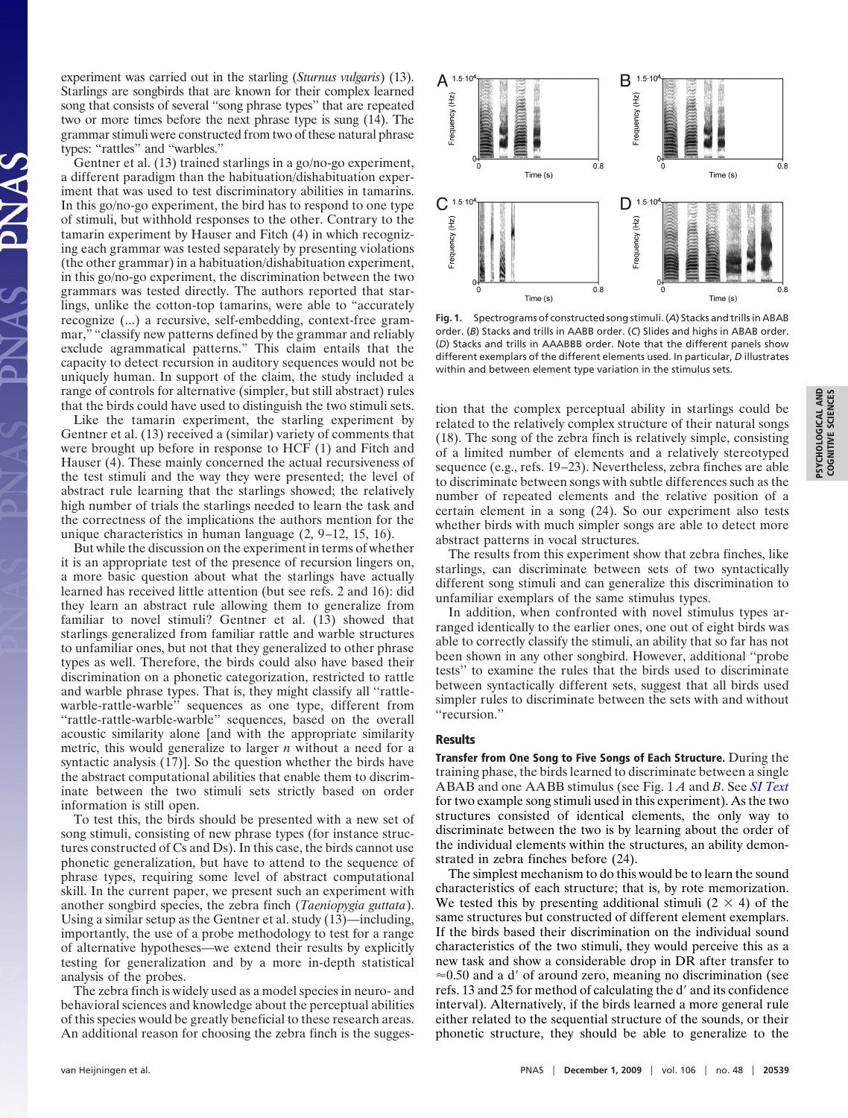experiment was carried out in the starling (*Sturnus vulgaris*) (13). Starlings are songbirds that are known for their complex learned song that consists of several ''song phrase types'' that are repeated two or more times before the next phrase type is sung (14). The grammar stimuli were constructed from two of these natural phrase types: ''rattles'' and ''warbles.''

Gentner et al. (13) trained starlings in a go/no-go experiment, a different paradigm than the habituation/dishabituation experiment that was used to test discriminatory abilities in tamarins. In this go/no-go experiment, the bird has to respond to one type of stimuli, but withhold responses to the other. Contrary to the tamarin experiment by Hauser and Fitch (4) in which recognizing each grammar was tested separately by presenting violations (the other grammar) in a habituation/dishabituation experiment, in this go/no-go experiment, the discrimination between the two grammars was tested directly. The authors reported that starlings, unlike the cotton-top tamarins, were able to "accurately recognize (...) a recursive, self-embedding, context-free grammar," "classify new patterns defined by the grammar and reliably exclude agrammatical patterns." This claim entails that the capacity to detect recursion in auditory sequences would not be uniquely human. In support of the claim, the study included a range of controls for alternative (simpler, but still abstract) rules that the birds could have used to distinguish the two stimuli sets.

Like the tamarin experiment, the starling experiment by Gentner et al. (13) received a (similar) variety of comments that were brought up before in response to HCF (1) and Fitch and Hauser (4). These mainly concerned the actual recursiveness of the test stimuli and the way they were presented; the level of abstract rule learning that the starlings showed; the relatively high number of trials the starlings needed to learn the task and the correctness of the implications the authors mention for the unique characteristics in human language (2, 9–12, 15, 16).

But while the discussion on the experiment in terms of whether it is an appropriate test of the presence of recursion lingers on, a more basic question about what the starlings have actually learned has received little attention (but see refs. 2 and 16): did they learn an abstract rule allowing them to generalize from familiar to novel stimuli? Gentner et al. (13) showed that starlings generalized from familiar rattle and warble structures to unfamiliar ones, but not that they generalized to other phrase types as well. Therefore, the birds could also have based their discrimination on a phonetic categorization, restricted to rattle and warble phrase types. That is, they might classify all "rattlewarble-rattle-warble'' sequences as one type, different from "rattle-rattle-warble-warble" sequences, based on the overall acoustic similarity alone [and with the appropriate similarity metric, this would generalize to larger *n* without a need for a syntactic analysis (17)]. So the question whether the birds have the abstract computational abilities that enable them to discriminate between the two stimuli sets strictly based on order information is still open.

To test this, the birds should be presented with a new set of song stimuli, consisting of new phrase types (for instance structures constructed of Cs and Ds). In this case, the birds cannot use phonetic generalization, but have to attend to the sequence of phrase types, requiring some level of abstract computational skill. In the current paper, we present such an experiment with another songbird species, the zebra finch (*Taeniopygia guttata*). Using a similar setup as the Gentner et al. study (13)—including, importantly, the use of a probe methodology to test for a range of alternative hypotheses—we extend their results by explicitly testing for generalization and by a more in-depth statistical analysis of the probes.

The zebra finch is widely used as a model species in neuro- and behavioral sciences and knowledge about the perceptual abilities of this species would be greatly beneficial to these research areas. An additional reason for choosing the zebra finch is the sugges-



**Fig. 1.** Spectrograms of constructed song stimuli. (*A*) Stacks and trills in ABAB order. (*B*) Stacks and trills in AABB order. (*C*) Slides and highs in ABAB order. (*D*) Stacks and trills in AAABBB order. Note that the different panels show different exemplars of the different elements used. In particular, *D* illustrates within and between element type variation in the stimulus sets.

tion that the complex perceptual ability in starlings could be related to the relatively complex structure of their natural songs (18). The song of the zebra finch is relatively simple, consisting of a limited number of elements and a relatively stereotyped sequence (e.g., refs. 19–23). Nevertheless, zebra finches are able to discriminate between songs with subtle differences such as the number of repeated elements and the relative position of a certain element in a song (24). So our experiment also tests whether birds with much simpler songs are able to detect more abstract patterns in vocal structures.

The results from this experiment show that zebra finches, like starlings, can discriminate between sets of two syntactically different song stimuli and can generalize this discrimination to unfamiliar exemplars of the same stimulus types.

In addition, when confronted with novel stimulus types arranged identically to the earlier ones, one out of eight birds was able to correctly classify the stimuli, an ability that so far has not been shown in any other songbird. However, additional ''probe tests'' to examine the rules that the birds used to discriminate between syntactically different sets, suggest that all birds used simpler rules to discriminate between the sets with and without ''recursion.''

### **Results**

**Transfer from One Song to Five Songs of Each Structure.** During the training phase, the birds learned to discriminate between a single ABAB and one AABB stimulus (see Fig. 1 *A* and *B*. See *[SI Text](http://www.pnas.org/cgi/data/0908113106/DCSupplemental/Supplemental_PDF#nameddest=STXT)* for two example song stimuli used in this experiment). As the two structures consisted of identical elements, the only way to discriminate between the two is by learning about the order of the individual elements within the structures, an ability demonstrated in zebra finches before (24).

The simplest mechanism to do this would be to learn the sound characteristics of each structure; that is, by rote memorization. We tested this by presenting additional stimuli  $(2 \times 4)$  of the same structures but constructed of different element exemplars. If the birds based their discrimination on the individual sound characteristics of the two stimuli, they would perceive this as a new task and show a considerable drop in DR after transfer to  $\approx 0.50$  and a d' of around zero, meaning no discrimination (see refs. 13 and 25 for method of calculating the d' and its confidence interval). Alternatively, if the birds learned a more general rule either related to the sequential structure of the sounds, or their phonetic structure, they should be able to generalize to the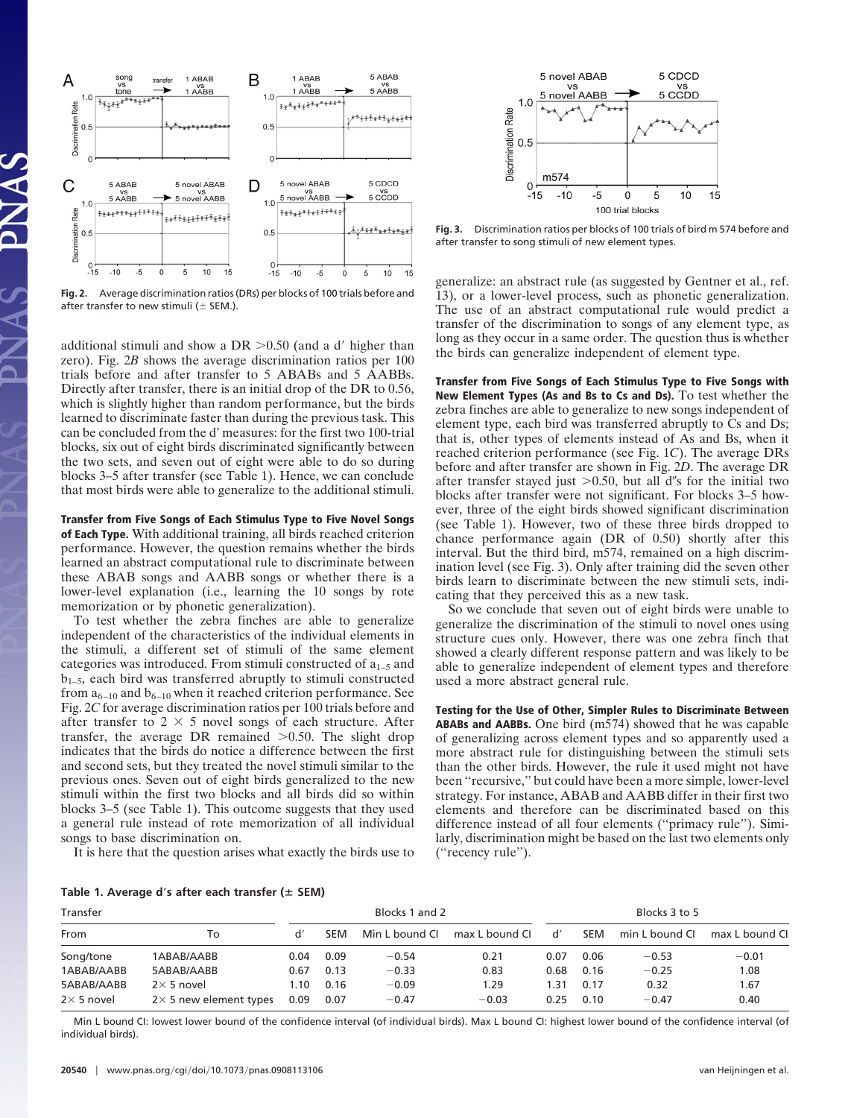

**Fig. 2.** Average discrimination ratios (DRs) per blocks of 100 trials before and after transfer to new stimuli ( $\pm$  SEM.).

additional stimuli and show a DR  $>0.50$  (and a d'higher than zero). Fig. 2*B* shows the average discrimination ratios per 100 trials before and after transfer to 5 ABABs and 5 AABBs. Directly after transfer, there is an initial drop of the DR to 0.56, which is slightly higher than random performance, but the birds learned to discriminate faster than during the previous task. This can be concluded from the d' measures: for the first two 100-trial blocks, six out of eight birds discriminated significantly between the two sets, and seven out of eight were able to do so during blocks 3–5 after transfer (see Table 1). Hence, we can conclude that most birds were able to generalize to the additional stimuli.

#### **Transfer from Five Songs of Each Stimulus Type to Five Novel Songs**

**of Each Type.** With additional training, all birds reached criterion performance. However, the question remains whether the birds learned an abstract computational rule to discriminate between these ABAB songs and AABB songs or whether there is a lower-level explanation (i.e., learning the 10 songs by rote memorization or by phonetic generalization).

To test whether the zebra finches are able to generalize independent of the characteristics of the individual elements in the stimuli, a different set of stimuli of the same element categories was introduced. From stimuli constructed of  $a_{1-5}$  and  $b_{1-5}$ , each bird was transferred abruptly to stimuli constructed from  $a_{6-10}$  and  $b_{6-10}$  when it reached criterion performance. See Fig. 2*C* for average discrimination ratios per 100 trials before and after transfer to 2  $\times$  5 novel songs of each structure. After transfer, the average DR remained  $>0.50$ . The slight drop indicates that the birds do notice a difference between the first and second sets, but they treated the novel stimuli similar to the previous ones. Seven out of eight birds generalized to the new stimuli within the first two blocks and all birds did so within blocks 3–5 (see Table 1). This outcome suggests that they used a general rule instead of rote memorization of all individual songs to base discrimination on.

It is here that the question arises what exactly the birds use to



**Fig. 3.** Discrimination ratios per blocks of 100 trials of bird m 574 before and after transfer to song stimuli of new element types.

generalize: an abstract rule (as suggested by Gentner et al., ref. 13), or a lower-level process, such as phonetic generalization. The use of an abstract computational rule would predict a transfer of the discrimination to songs of any element type, as long as they occur in a same order. The question thus is whether the birds can generalize independent of element type.

**Transfer from Five Songs of Each Stimulus Type to Five Songs with New Element Types (As and Bs to Cs and Ds).** To test whether the zebra finches are able to generalize to new songs independent of element type, each bird was transferred abruptly to Cs and Ds; that is, other types of elements instead of As and Bs, when it reached criterion performance (see Fig. 1*C*). The average DRs before and after transfer are shown in Fig. 2*D*. The average DR after transfer stayed just  $>0.50$ , but all d''s for the initial two blocks after transfer were not significant. For blocks 3–5 however, three of the eight birds showed significant discrimination (see Table 1). However, two of these three birds dropped to chance performance again (DR of 0.50) shortly after this interval. But the third bird, m574, remained on a high discrimination level (see Fig. 3). Only after training did the seven other birds learn to discriminate between the new stimuli sets, indicating that they perceived this as a new task.

So we conclude that seven out of eight birds were unable to generalize the discrimination of the stimuli to novel ones using structure cues only. However, there was one zebra finch that showed a clearly different response pattern and was likely to be able to generalize independent of element types and therefore used a more abstract general rule.

**Testing for the Use of Other, Simpler Rules to Discriminate Between ABABs and AABBs.** One bird (m574) showed that he was capable of generalizing across element types and so apparently used a more abstract rule for distinguishing between the stimuli sets than the other birds. However, the rule it used might not have been ''recursive,'' but could have been a more simple, lower-level strategy. For instance, ABAB and AABB differ in their first two elements and therefore can be discriminated based on this difference instead of all four elements (''primacy rule''). Similarly, discrimination might be based on the last two elements only (''recency rule'').

| Table 1. Average d's after each transfer (± SEM) |  |  |  |
|--------------------------------------------------|--|--|--|
|--------------------------------------------------|--|--|--|

| Transfer          | Blocks 1 and 2                |      |            |                | Blocks 3 to 5  |      |            |                |                |  |  |
|-------------------|-------------------------------|------|------------|----------------|----------------|------|------------|----------------|----------------|--|--|
| From              | То                            | d'   | <b>SEM</b> | Min L bound CI | max L bound Cl | d'   | <b>SEM</b> | min L bound CI | max L bound Cl |  |  |
| Song/tone         | 1ABAB/AABB                    | 0.04 | 0.09       | $-0.54$        | 0.21           | 0.07 | 0.06       | $-0.53$        | $-0.01$        |  |  |
| 1ABAB/AABB        | 5ABAB/AABB                    | 0.67 | 0.13       | $-0.33$        | 0.83           | 0.68 | 0.16       | $-0.25$        | 1.08           |  |  |
| 5ABAB/AABB        | $2\times$ 5 novel             | 1.10 | 0.16       | $-0.09$        | 1.29           | 1.31 | 0.17       | 0.32           | 1.67           |  |  |
| $2\times$ 5 novel | $2\times$ 5 new element types | 0.09 | 0.07       | $-0.47$        | $-0.03$        | 0.25 | 0.10       | $-0.47$        | 0.40           |  |  |
|                   |                               |      |            |                |                |      |            |                |                |  |  |

Min L bound CI: lowest lower bound of the confidence interval (of individual birds). Max L bound CI: highest lower bound of the confidence interval (of individual birds).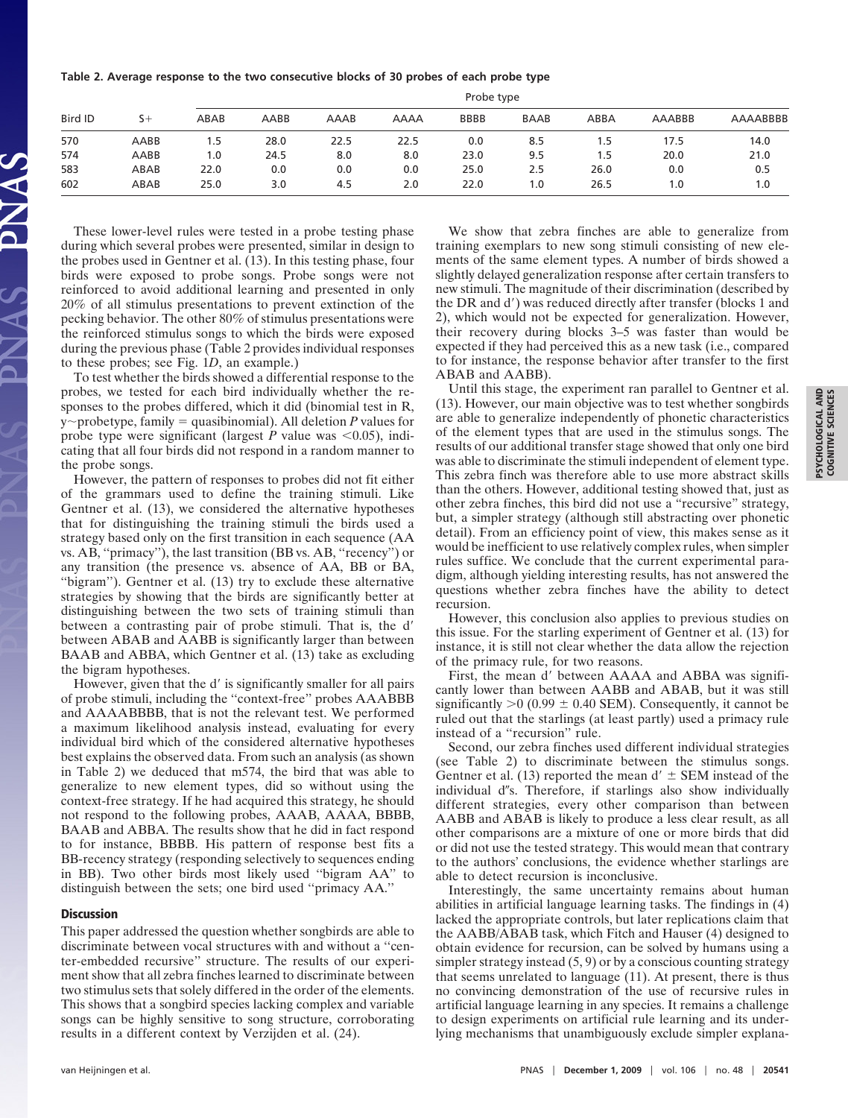**Table 2. Average response to the two consecutive blocks of 30 probes of each probe type**

| Bird ID |      | ABAB | AABB | AAAB | AAAA | <b>BBBB</b> | <b>BAAB</b>      | ABBA | <b>AAABBB</b> | AAAABBBB |
|---------|------|------|------|------|------|-------------|------------------|------|---------------|----------|
| 570     | AABB | ۱.5  | 28.0 | 22.5 | 22.5 | 0.0         | 8.5              | 1.5  | 17.5          | 14.0     |
| 574     | AABB | 1.0  | 24.5 | 8.0  | 8.0  | 23.0        | 9.5              | 1.5  | 20.0          | 21.0     |
| 583     | ABAB | 22.0 | 0.0  | 0.0  | 0.0  | 25.0        | 2.5              | 26.0 | 0.0           | 0.5      |
| 602     | ABAB | 25.0 | 3.0  | 4.5  | 2.0  | 22.0        | $\overline{0}$ . | 26.5 | 0. ا          | 1.0      |

These lower-level rules were tested in a probe testing phase during which several probes were presented, similar in design to the probes used in Gentner et al. (13). In this testing phase, four birds were exposed to probe songs. Probe songs were not reinforced to avoid additional learning and presented in only 20% of all stimulus presentations to prevent extinction of the pecking behavior. The other 80% of stimulus presentations were the reinforced stimulus songs to which the birds were exposed during the previous phase (Table 2 provides individual responses to these probes; see Fig. 1*D*, an example.)

To test whether the birds showed a differential response to the probes, we tested for each bird individually whether the responses to the probes differed, which it did (binomial test in R, y~probetype, family = quasibinomial). All deletion *P* values for probe type were significant (largest *P* value was 0.05), indicating that all four birds did not respond in a random manner to the probe songs.

However, the pattern of responses to probes did not fit either of the grammars used to define the training stimuli. Like Gentner et al. (13), we considered the alternative hypotheses that for distinguishing the training stimuli the birds used a strategy based only on the first transition in each sequence (AA vs. AB, ''primacy''), the last transition (BB vs. AB, ''recency'') or any transition (the presence vs. absence of AA, BB or BA, "bigram"). Gentner et al. (13) try to exclude these alternative strategies by showing that the birds are significantly better at distinguishing between the two sets of training stimuli than between a contrasting pair of probe stimuli. That is, the d between ABAB and AABB is significantly larger than between BAAB and ABBA, which Gentner et al. (13) take as excluding the bigram hypotheses.

However, given that the d' is significantly smaller for all pairs of probe stimuli, including the ''context-free'' probes AAABBB and AAAABBBB, that is not the relevant test. We performed a maximum likelihood analysis instead, evaluating for every individual bird which of the considered alternative hypotheses best explains the observed data. From such an analysis (as shown in Table 2) we deduced that m574, the bird that was able to generalize to new element types, did so without using the context-free strategy. If he had acquired this strategy, he should not respond to the following probes, AAAB, AAAA, BBBB, BAAB and ABBA. The results show that he did in fact respond to for instance, BBBB. His pattern of response best fits a BB-recency strategy (responding selectively to sequences ending in BB). Two other birds most likely used ''bigram AA'' to distinguish between the sets; one bird used ''primacy AA.''

## **Discussion**

This paper addressed the question whether songbirds are able to discriminate between vocal structures with and without a ''center-embedded recursive'' structure. The results of our experiment show that all zebra finches learned to discriminate between two stimulus sets that solely differed in the order of the elements. This shows that a songbird species lacking complex and variable songs can be highly sensitive to song structure, corroborating results in a different context by Verzijden et al. (24).

We show that zebra finches are able to generalize from training exemplars to new song stimuli consisting of new elements of the same element types. A number of birds showed a slightly delayed generalization response after certain transfers to new stimuli. The magnitude of their discrimination (described by the DR and d) was reduced directly after transfer (blocks 1 and 2), which would not be expected for generalization. However, their recovery during blocks 3–5 was faster than would be expected if they had perceived this as a new task (i.e., compared to for instance, the response behavior after transfer to the first ABAB and AABB).

Until this stage, the experiment ran parallel to Gentner et al. (13). However, our main objective was to test whether songbirds are able to generalize independently of phonetic characteristics of the element types that are used in the stimulus songs. The results of our additional transfer stage showed that only one bird was able to discriminate the stimuli independent of element type. This zebra finch was therefore able to use more abstract skills than the others. However, additional testing showed that, just as other zebra finches, this bird did not use a "recursive" strategy, but, a simpler strategy (although still abstracting over phonetic detail). From an efficiency point of view, this makes sense as it would be inefficient to use relatively complex rules, when simpler rules suffice. We conclude that the current experimental paradigm, although yielding interesting results, has not answered the questions whether zebra finches have the ability to detect recursion.

However, this conclusion also applies to previous studies on this issue. For the starling experiment of Gentner et al. (13) for instance, it is still not clear whether the data allow the rejection of the primacy rule, for two reasons.

First, the mean d' between AAAA and ABBA was significantly lower than between AABB and ABAB, but it was still significantly  $> 0$  (0.99  $\pm$  0.40 SEM). Consequently, it cannot be ruled out that the starlings (at least partly) used a primacy rule instead of a ''recursion'' rule.

Second, our zebra finches used different individual strategies (see Table 2) to discriminate between the stimulus songs. Gentner et al. (13) reported the mean  $d' \pm SEM$  instead of the individual d"s. Therefore, if starlings also show individually different strategies, every other comparison than between AABB and ABAB is likely to produce a less clear result, as all other comparisons are a mixture of one or more birds that did or did not use the tested strategy. This would mean that contrary to the authors' conclusions, the evidence whether starlings are able to detect recursion is inconclusive.

Interestingly, the same uncertainty remains about human abilities in artificial language learning tasks. The findings in (4) lacked the appropriate controls, but later replications claim that the AABB/ABAB task, which Fitch and Hauser (4) designed to obtain evidence for recursion, can be solved by humans using a simpler strategy instead (5, 9) or by a conscious counting strategy that seems unrelated to language (11). At present, there is thus no convincing demonstration of the use of recursive rules in artificial language learning in any species. It remains a challenge to design experiments on artificial rule learning and its underlying mechanisms that unambiguously exclude simpler explana-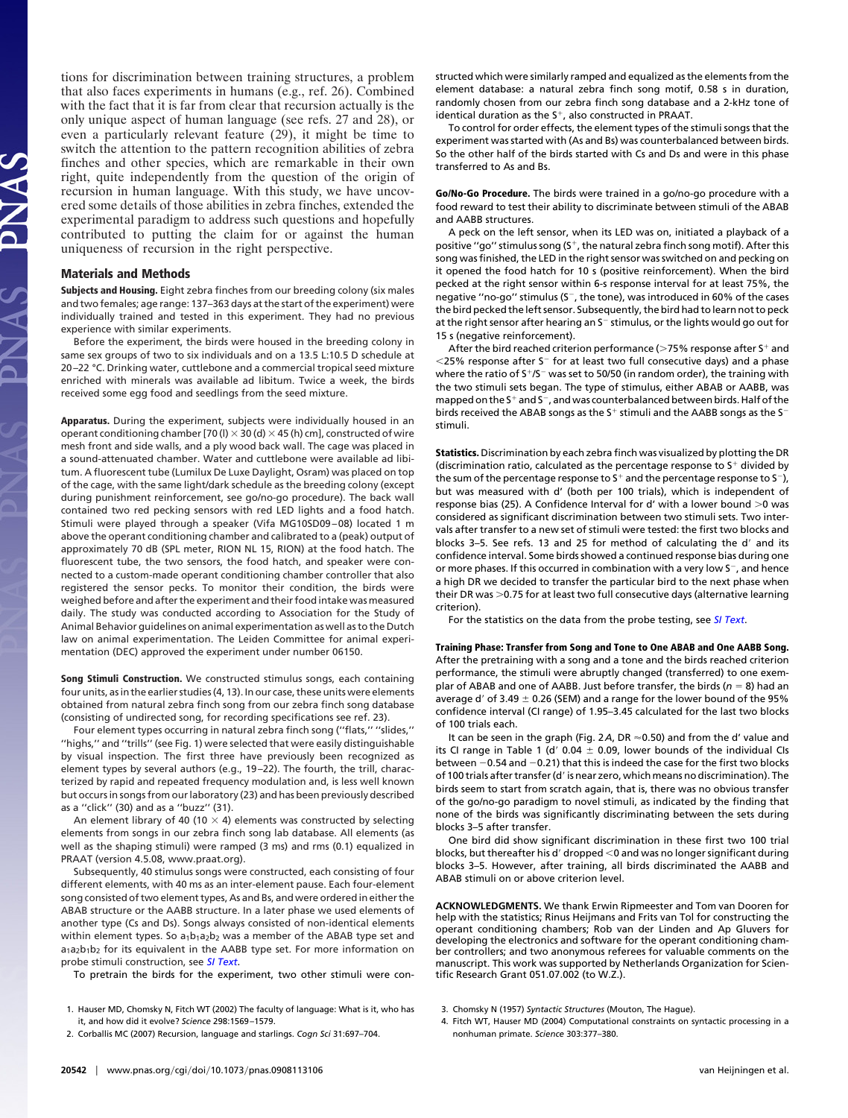tions for discrimination between training structures, a problem that also faces experiments in humans (e.g., ref. 26). Combined with the fact that it is far from clear that recursion actually is the only unique aspect of human language (see refs. 27 and 28), or even a particularly relevant feature (29), it might be time to switch the attention to the pattern recognition abilities of zebra finches and other species, which are remarkable in their own right, quite independently from the question of the origin of recursion in human language. With this study, we have uncovered some details of those abilities in zebra finches, extended the experimental paradigm to address such questions and hopefully contributed to putting the claim for or against the human uniqueness of recursion in the right perspective.

#### **Materials and Methods**

**Subjects and Housing.** Eight zebra finches from our breeding colony (six males and two females; age range: 137–363 days at the start of the experiment) were individually trained and tested in this experiment. They had no previous experience with similar experiments.

Before the experiment, the birds were housed in the breeding colony in same sex groups of two to six individuals and on a 13.5 L:10.5 D schedule at 20 –22 °C. Drinking water, cuttlebone and a commercial tropical seed mixture enriched with minerals was available ad libitum. Twice a week, the birds received some egg food and seedlings from the seed mixture.

**Apparatus.** During the experiment, subjects were individually housed in an operant conditioning chamber [70 (l)  $\times$  30 (d)  $\times$  45 (h) cm], constructed of wire mesh front and side walls, and a ply wood back wall. The cage was placed in a sound-attenuated chamber. Water and cuttlebone were available ad libitum. A fluorescent tube (Lumilux De Luxe Daylight, Osram) was placed on top of the cage, with the same light/dark schedule as the breeding colony (except during punishment reinforcement, see go/no-go procedure). The back wall contained two red pecking sensors with red LED lights and a food hatch. Stimuli were played through a speaker (Vifa MG10SD09 – 08) located 1 m above the operant conditioning chamber and calibrated to a (peak) output of approximately 70 dB (SPL meter, RION NL 15, RION) at the food hatch. The fluorescent tube, the two sensors, the food hatch, and speaker were connected to a custom-made operant conditioning chamber controller that also registered the sensor pecks. To monitor their condition, the birds were weighed before and after the experiment and their food intake was measured daily. The study was conducted according to Association for the Study of Animal Behavior guidelines on animal experimentation as well as to the Dutch law on animal experimentation. The Leiden Committee for animal experimentation (DEC) approved the experiment under number 06150.

**Song Stimuli Construction.** We constructed stimulus songs, each containing four units, as in the earlier studies (4, 13). In our case, these units were elements obtained from natural zebra finch song from our zebra finch song database (consisting of undirected song, for recording specifications see ref. 23).

Four element types occurring in natural zebra finch song (''flats,'' ''slides,'' ''highs,'' and ''trills'' (see Fig. 1) were selected that were easily distinguishable by visual inspection. The first three have previously been recognized as element types by several authors (e.g., 19 –22). The fourth, the trill, characterized by rapid and repeated frequency modulation and, is less well known but occurs in songs from our laboratory (23) and has been previously described as a ''click'' (30) and as a ''buzz'' (31).

An element library of 40 (10  $\times$  4) elements was constructed by selecting elements from songs in our zebra finch song lab database. All elements (as well as the shaping stimuli) were ramped (3 ms) and rms (0.1) equalized in PRAAT (version 4.5.08, www.praat.org).

Subsequently, 40 stimulus songs were constructed, each consisting of four different elements, with 40 ms as an inter-element pause. Each four-element song consisted of two element types, As and Bs, and were ordered in either the ABAB structure or the AABB structure. In a later phase we used elements of another type (Cs and Ds). Songs always consisted of non-identical elements within element types. So  $a_1b_1a_2b_2$  was a member of the ABAB type set and  $a_1a_2b_1b_2$  for its equivalent in the AABB type set. For more information on probe stimuli construction, see *[SI Text](http://www.pnas.org/cgi/data/0908113106/DCSupplemental/Supplemental_PDF#nameddest=STXT)*.

To pretrain the birds for the experiment, two other stimuli were con-

- 1. Hauser MD, Chomsky N, Fitch WT (2002) The faculty of language: What is it, who has it, and how did it evolve? *Science* 298:1569 –1579.
- 2. Corballis MC (2007) Recursion, language and starlings. *Cogn Sci* 31:697–704.

structed which were similarly ramped and equalized as the elements from the element database: a natural zebra finch song motif, 0.58 s in duration, randomly chosen from our zebra finch song database and a 2-kHz tone of identical duration as the  $S^+$ , also constructed in PRAAT.

To control for order effects, the element types of the stimuli songs that the experiment was started with (As and Bs) was counterbalanced between birds. So the other half of the birds started with Cs and Ds and were in this phase transferred to As and Bs.

**Go/No-Go Procedure.** The birds were trained in a go/no-go procedure with a food reward to test their ability to discriminate between stimuli of the ABAB and AABB structures.

A peck on the left sensor, when its LED was on, initiated a playback of a positive "go" stimulus song  $(S^+$ , the natural zebra finch song motif). After this song was finished, the LED in the right sensor was switched on and pecking on it opened the food hatch for 10 s (positive reinforcement). When the bird pecked at the right sensor within 6-s response interval for at least 75%, the negative "no-go" stimulus ( $S^-$ , the tone), was introduced in 60% of the cases the bird pecked the left sensor. Subsequently, the bird had to learn not to peck at the right sensor after hearing an S<sup>-</sup> stimulus, or the lights would go out for 15 s (negative reinforcement).

After the bird reached criterion performance ( $>$ 75% response after S $^+$  and  $<$ 25% response after S<sup>-</sup> for at least two full consecutive days) and a phase where the ratio of  $S^+/S^-$  was set to 50/50 (in random order), the training with the two stimuli sets began. The type of stimulus, either ABAB or AABB, was mapped on the S<sup>+</sup> and S<sup>-</sup>, and was counterbalanced between birds. Half of the birds received the ABAB songs as the  $S^+$  stimuli and the AABB songs as the  $S^$ stimuli.

**Statistics.** Discrimination by each zebra finch was visualized by plotting the DR (discrimination ratio, calculated as the percentage response to  $S^+$  divided by the sum of the percentage response to  $S^+$  and the percentage response to  $S^-$ ), but was measured with d' (both per 100 trials), which is independent of response bias (25). A Confidence Interval for d' with a lower bound  $>0$  was considered as significant discrimination between two stimuli sets. Two intervals after transfer to a new set of stimuli were tested: the first two blocks and blocks 3-5. See refs. 13 and 25 for method of calculating the d' and its confidence interval. Some birds showed a continued response bias during one or more phases. If this occurred in combination with a very low  $S^-$ , and hence a high DR we decided to transfer the particular bird to the next phase when their DR was  $>0.75$  for at least two full consecutive days (alternative learning criterion).

For the statistics on the data from the probe testing, see *[SI Text](http://www.pnas.org/cgi/data/0908113106/DCSupplemental/Supplemental_PDF#nameddest=STXT)*.

**Training Phase: Transfer from Song and Tone to One ABAB and One AABB Song.** After the pretraining with a song and a tone and the birds reached criterion performance, the stimuli were abruptly changed (transferred) to one exemplar of ABAB and one of AABB. Just before transfer, the birds  $(n = 8)$  had an average d' of 3.49  $\pm$  0.26 (SEM) and a range for the lower bound of the 95% confidence interval (CI range) of 1.95–3.45 calculated for the last two blocks of 100 trials each.

It can be seen in the graph (Fig. 2A, DR  $\approx$  0.50) and from the d' value and its CI range in Table 1 (d' 0.04  $\pm$  0.09, lower bounds of the individual CIs between  $-0.54$  and  $-0.21$ ) that this is indeed the case for the first two blocks of 100 trials after transfer (d' is near zero, which means no discrimination). The birds seem to start from scratch again, that is, there was no obvious transfer of the go/no-go paradigm to novel stimuli, as indicated by the finding that none of the birds was significantly discriminating between the sets during blocks 3–5 after transfer.

One bird did show significant discrimination in these first two 100 trial blocks, but thereafter his d' dropped <0 and was no longer significant during blocks 3–5. However, after training, all birds discriminated the AABB and ABAB stimuli on or above criterion level.

**ACKNOWLEDGMENTS.** We thank Erwin Ripmeester and Tom van Dooren for help with the statistics; Rinus Heijmans and Frits van Tol for constructing the operant conditioning chambers; Rob van der Linden and Ap Gluvers for developing the electronics and software for the operant conditioning chamber controllers; and two anonymous referees for valuable comments on the manuscript. This work was supported by Netherlands Organization for Scientific Research Grant 051.07.002 (to W.Z.).

- 3. Chomsky N (1957) *Syntactic Structures* (Mouton, The Hague).
- 4. Fitch WT, Hauser MD (2004) Computational constraints on syntactic processing in a nonhuman primate. *Science* 303:377–380.